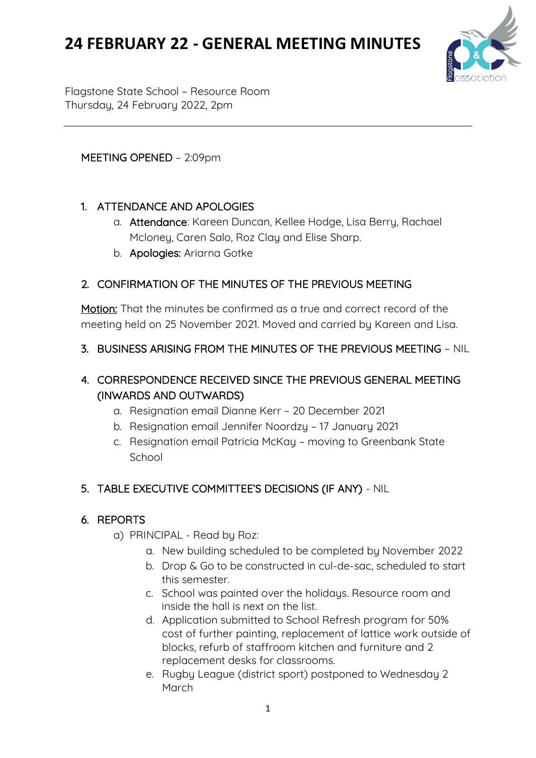

Flagstone State School – Resource Room Thursday, 24 February 2022, 2pm

### MEETING OPENED – 2:09pm

### 1. ATTENDANCE AND APOLOGIES

- a. Attendance: Kareen Duncan, Kellee Hodge, Lisa Berry, Rachael Mcloney, Caren Salo, Roz Clay and Elise Sharp.
- b. Apologies: Ariarna Gotke

### 2. CONFIRMATION OF THE MINUTES OF THE PREVIOUS MEETING

Motion: That the minutes be confirmed as a true and correct record of the meeting held on 25 November 2021. Moved and carried by Kareen and Lisa.

#### 3. BUSINESS ARISING FROM THE MINUTES OF THE PREVIOUS MEETING – NIL

## 4. CORRESPONDENCE RECEIVED SINCE THE PREVIOUS GENERAL MEETING (INWARDS AND OUTWARDS)

- a. Resignation email Dianne Kerr 20 December 2021
- b. Resignation email Jennifer Noordzy 17 January 2021
- c. Resignation email Patricia McKay moving to Greenbank State School

### 5. TABLE EXECUTIVE COMMITTEE'S DECISIONS (IF ANY) - NIL

### 6. REPORTS

- a) PRINCIPAL Read by Roz:
	- a. New building scheduled to be completed by November 2022
	- b. Drop & Go to be constructed in cul-de-sac, scheduled to start this semester.
	- c. School was painted over the holidays. Resource room and inside the hall is next on the list.
	- d. Application submitted to School Refresh program for 50% cost of further painting, replacement of lattice work outside of blocks, refurb of staffroom kitchen and furniture and 2 replacement desks for classrooms.
	- e. Rugby League (district sport) postponed to Wednesday 2 March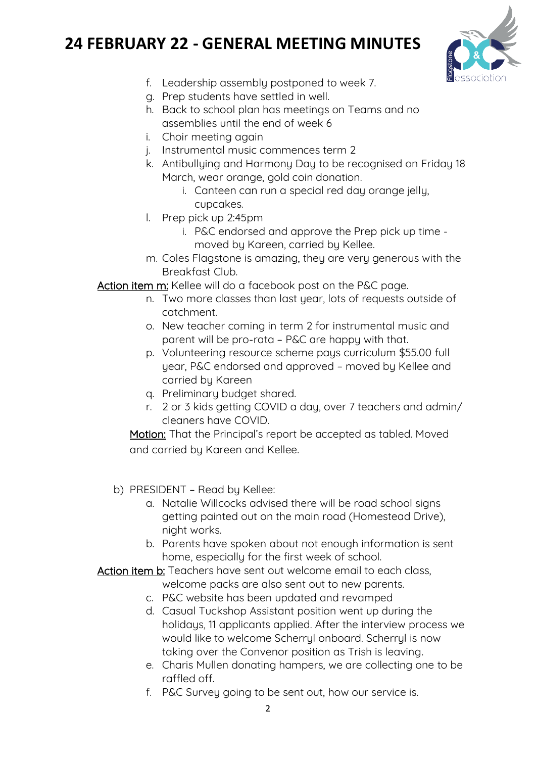

- f. Leadership assembly postponed to week 7.
- g. Prep students have settled in well.
- h. Back to school plan has meetings on Teams and no assemblies until the end of week 6
- i. Choir meeting again
- j. Instrumental music commences term 2
- k. Antibullying and Harmony Day to be recognised on Friday 18 March, wear orange, gold coin donation.
	- i. Canteen can run a special red day orange jelly, cupcakes.
- l. Prep pick up 2:45pm
	- i. P&C endorsed and approve the Prep pick up time moved by Kareen, carried by Kellee.
- m. Coles Flagstone is amazing, they are very generous with the Breakfast Club.

Action item m: Kellee will do a facebook post on the P&C page.

- n. Two more classes than last year, lots of requests outside of catchment.
- o. New teacher coming in term 2 for instrumental music and parent will be pro-rata – P&C are happy with that.
- p. Volunteering resource scheme pays curriculum \$55.00 full year, P&C endorsed and approved – moved by Kellee and carried by Kareen
- q. Preliminary budget shared.
- r. 2 or 3 kids getting COVID a day, over 7 teachers and admin/ cleaners have COVID.

Motion: That the Principal's report be accepted as tabled. Moved and carried by Kareen and Kellee.

- b) PRESIDENT Read by Kellee:
	- a. Natalie Willcocks advised there will be road school signs getting painted out on the main road (Homestead Drive), night works.
	- b. Parents have spoken about not enough information is sent home, especially for the first week of school.

Action item b: Teachers have sent out welcome email to each class,

- welcome packs are also sent out to new parents.
- c. P&C website has been updated and revamped
- d. Casual Tuckshop Assistant position went up during the holidays, 11 applicants applied. After the interview process we would like to welcome Scherryl onboard. Scherryl is now taking over the Convenor position as Trish is leaving.
- e. Charis Mullen donating hampers, we are collecting one to be raffled off.
- f. P&C Survey going to be sent out, how our service is.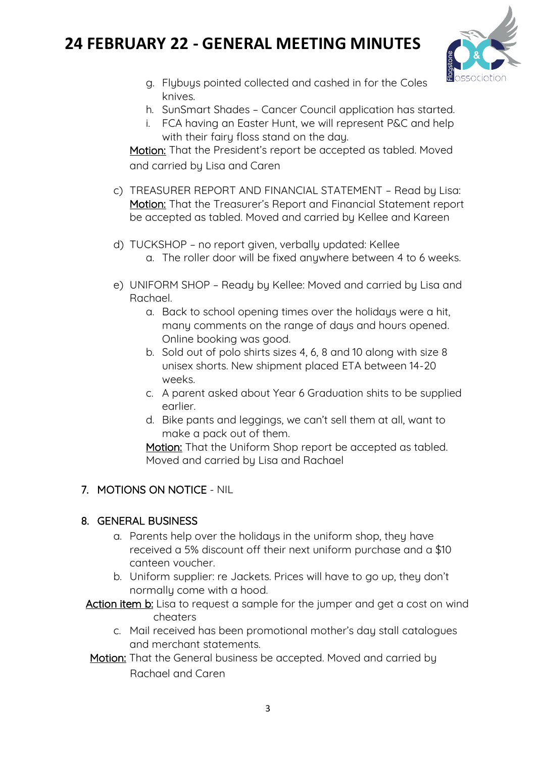

- g. Flybuys pointed collected and cashed in for the Coles knives.
- h. SunSmart Shades Cancer Council application has started.
- i. FCA having an Easter Hunt, we will represent P&C and help with their fairy floss stand on the day.

Motion: That the President's report be accepted as tabled. Moved and carried by Lisa and Caren

- c) TREASURER REPORT AND FINANCIAL STATEMENT Read by Lisa: Motion: That the Treasurer's Report and Financial Statement report be accepted as tabled. Moved and carried by Kellee and Kareen
- d) TUCKSHOP no report given, verbally updated: Kellee a. The roller door will be fixed anywhere between 4 to 6 weeks.
- e) UNIFORM SHOP Ready by Kellee: Moved and carried by Lisa and Rachael.
	- a. Back to school opening times over the holidays were a hit, many comments on the range of days and hours opened. Online booking was good.
	- b. Sold out of polo shirts sizes 4, 6, 8 and 10 along with size 8 unisex shorts. New shipment placed ETA between 14-20 weeks.
	- c. A parent asked about Year 6 Graduation shits to be supplied earlier.
	- d. Bike pants and leggings, we can't sell them at all, want to make a pack out of them.

Motion: That the Uniform Shop report be accepted as tabled. Moved and carried by Lisa and Rachael

### 7. MOTIONS ON NOTICE - NIL

### 8. GENERAL BUSINESS

- a. Parents help over the holidays in the uniform shop, they have received a 5% discount off their next uniform purchase and a \$10 canteen voucher.
- b. Uniform supplier: re Jackets. Prices will have to go up, they don't normally come with a hood.
- Action item b: Lisa to request a sample for the jumper and get a cost on wind cheaters
	- c. Mail received has been promotional mother's day stall catalogues and merchant statements.
- Motion: That the General business be accepted. Moved and carried by Rachael and Caren